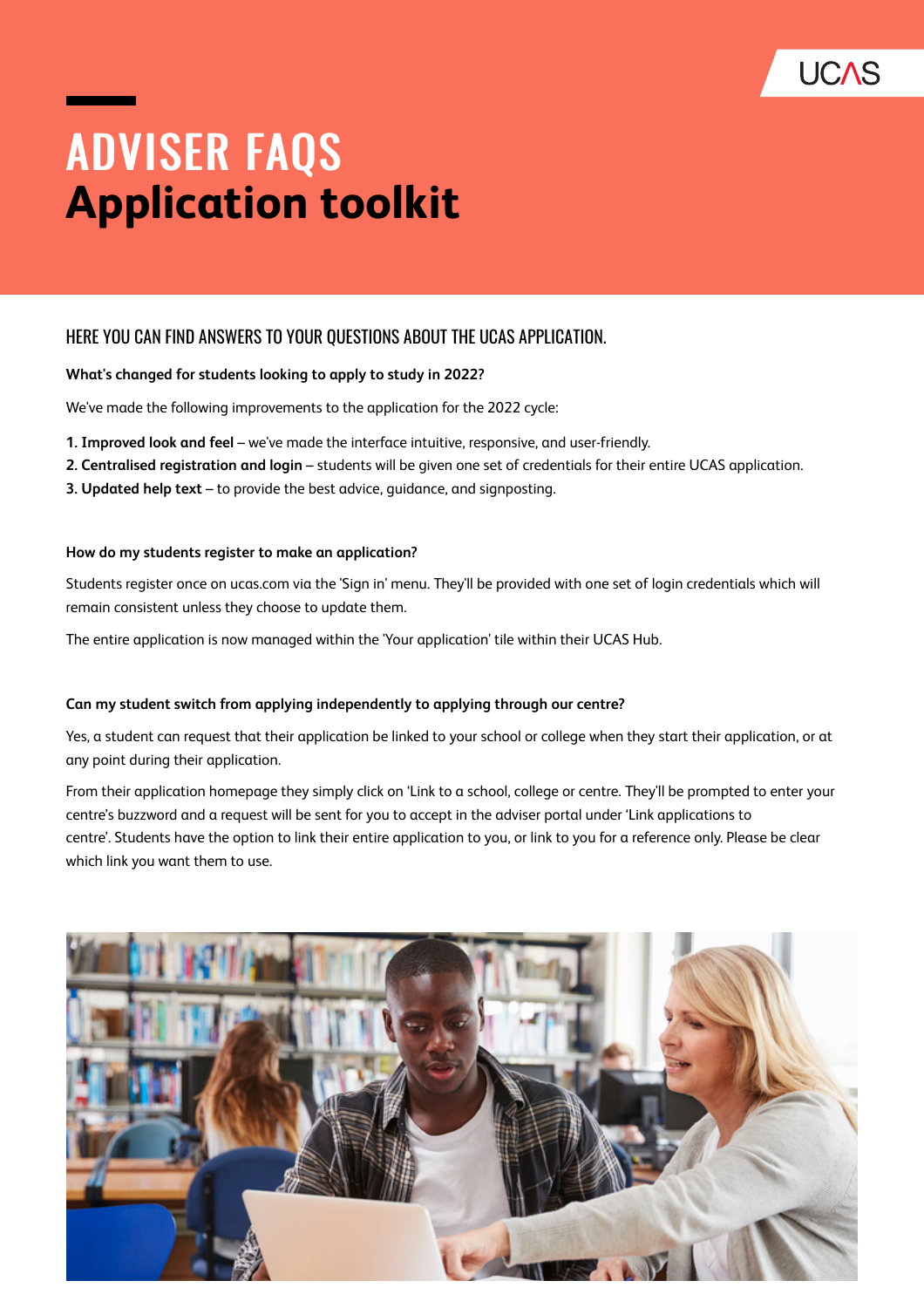

# ADVISER FAQS **Application toolkit**

# HERE YOU CAN FIND ANSWERS TO YOUR QUESTIONS ABOUT THE UCAS APPLICATION.

### **What's changed for students looking to apply to study in 2022?**

We've made the following improvements to the application for the 2022 cycle:

- **1. Improved look and feel** we've made the interface intuitive, responsive, and user-friendly.
- **2. Centralised registration and login** students will be given one set of credentials for their entire UCAS application.
- **3. Updated help text** to provide the best advice, guidance, and signposting.

#### **How do my students register to make an application?**

Students register once on ucas.com via the 'Sign in' menu. They'll be provided with one set of login credentials which will remain consistent unless they choose to update them.

The entire application is now managed within the 'Your application' tile within their UCAS Hub.

#### **Can my student switch from applying independently to applying through our centre?**

Yes, a student can request that their application be linked to your school or college when they start their application, or at any point during their application.

From their application homepage they simply click on 'Link to a school, college or centre. They'll be prompted to enter your centre's buzzword and a request will be sent for you to accept in the adviser portal under 'Link applications to centre'. Students have the option to link their entire application to you, or link to you for a reference only. Please be clear which link you want them to use.